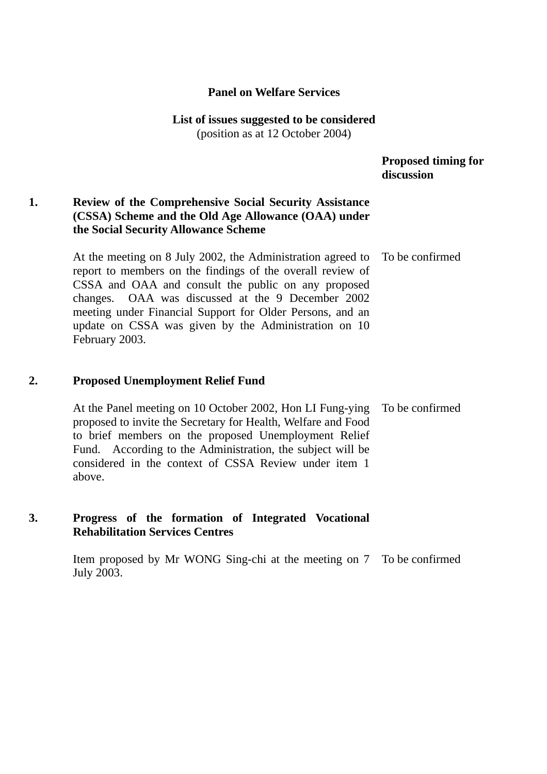## **Panel on Welfare Services**

# **List of issues suggested to be considered**

(position as at 12 October 2004)

## **Proposed timing for discussion**

## **1. Review of the Comprehensive Social Security Assistance (CSSA) Scheme and the Old Age Allowance (OAA) under the Social Security Allowance Scheme**

At the meeting on 8 July 2002, the Administration agreed to report to members on the findings of the overall review of CSSA and OAA and consult the public on any proposed changes. OAA was discussed at the 9 December 2002 meeting under Financial Support for Older Persons, and an update on CSSA was given by the Administration on 10 February 2003. To be confirmed

## **2. Proposed Unemployment Relief Fund**

At the Panel meeting on 10 October 2002, Hon LI Fung-ying proposed to invite the Secretary for Health, Welfare and Food to brief members on the proposed Unemployment Relief Fund. According to the Administration, the subject will be considered in the context of CSSA Review under item 1 above. To be confirmed

## **3. Progress of the formation of Integrated Vocational Rehabilitation Services Centres**

Item proposed by Mr WONG Sing-chi at the meeting on 7 To be confirmed July 2003.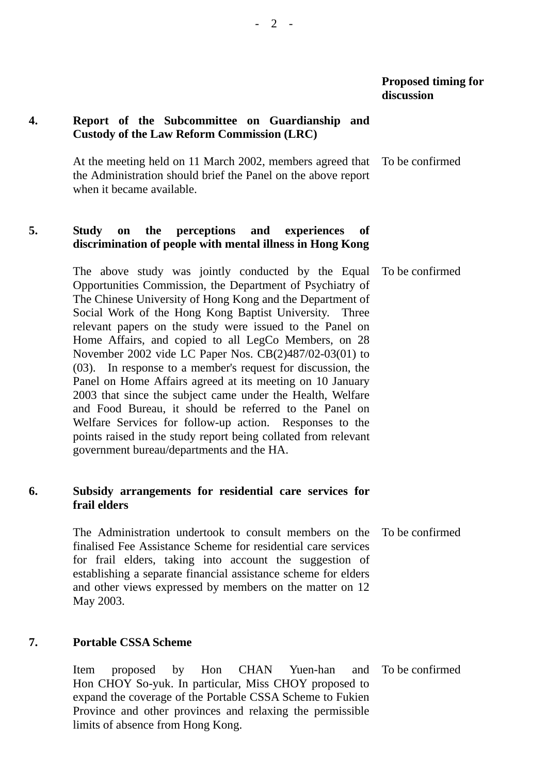## **4. Report of the Subcommittee on Guardianship and Custody of the Law Reform Commission (LRC)**

At the meeting held on 11 March 2002, members agreed that the Administration should brief the Panel on the above report when it became available. To be confirmed

## **5. Study on the perceptions and experiences of discrimination of people with mental illness in Hong Kong**

The above study was jointly conducted by the Equal Opportunities Commission, the Department of Psychiatry of The Chinese University of Hong Kong and the Department of Social Work of the Hong Kong Baptist University. Three relevant papers on the study were issued to the Panel on Home Affairs, and copied to all LegCo Members, on 28 November 2002 vide LC Paper Nos. CB(2)487/02-03(01) to (03). In response to a member's request for discussion, the Panel on Home Affairs agreed at its meeting on 10 January 2003 that since the subject came under the Health, Welfare and Food Bureau, it should be referred to the Panel on Welfare Services for follow-up action. Responses to the points raised in the study report being collated from relevant government bureau/departments and the HA. To be confirmed

### **6. Subsidy arrangements for residential care services for frail elders**

The Administration undertook to consult members on the finalised Fee Assistance Scheme for residential care services for frail elders, taking into account the suggestion of establishing a separate financial assistance scheme for elders and other views expressed by members on the matter on 12 May 2003. To be confirmed

## **7. Portable CSSA Scheme**

Item proposed by Hon CHAN Yuen-han and Hon CHOY So-yuk. In particular, Miss CHOY proposed to expand the coverage of the Portable CSSA Scheme to Fukien Province and other provinces and relaxing the permissible limits of absence from Hong Kong. To be confirmed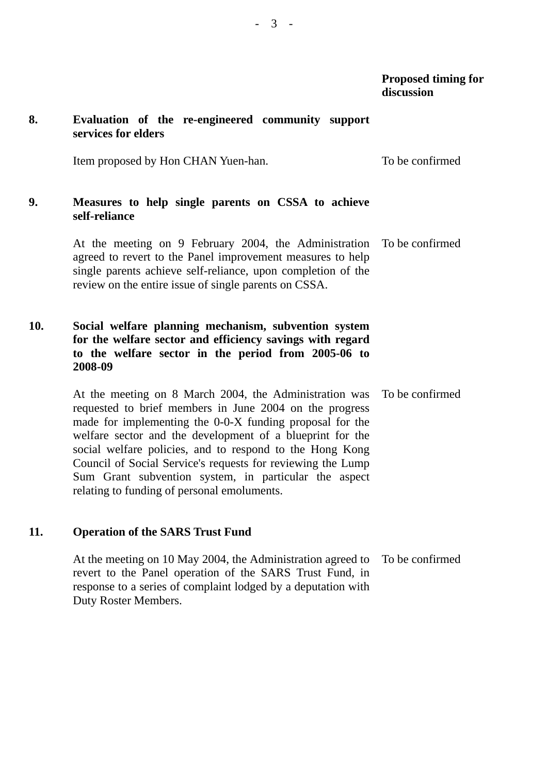## **8. Evaluation of the re-engineered community support services for elders**

Item proposed by Hon CHAN Yuen-han. To be confirmed

### **9. Measures to help single parents on CSSA to achieve self-reliance**

At the meeting on 9 February 2004, the Administration agreed to revert to the Panel improvement measures to help single parents achieve self-reliance, upon completion of the review on the entire issue of single parents on CSSA. To be confirmed

## **10. Social welfare planning mechanism, subvention system for the welfare sector and efficiency savings with regard to the welfare sector in the period from 2005-06 to 2008-09**

At the meeting on 8 March 2004, the Administration was requested to brief members in June 2004 on the progress made for implementing the 0-0-X funding proposal for the welfare sector and the development of a blueprint for the social welfare policies, and to respond to the Hong Kong Council of Social Service's requests for reviewing the Lump Sum Grant subvention system, in particular the aspect relating to funding of personal emoluments. To be confirmed

## **11. Operation of the SARS Trust Fund**

At the meeting on 10 May 2004, the Administration agreed to revert to the Panel operation of the SARS Trust Fund, in response to a series of complaint lodged by a deputation with Duty Roster Members. To be confirmed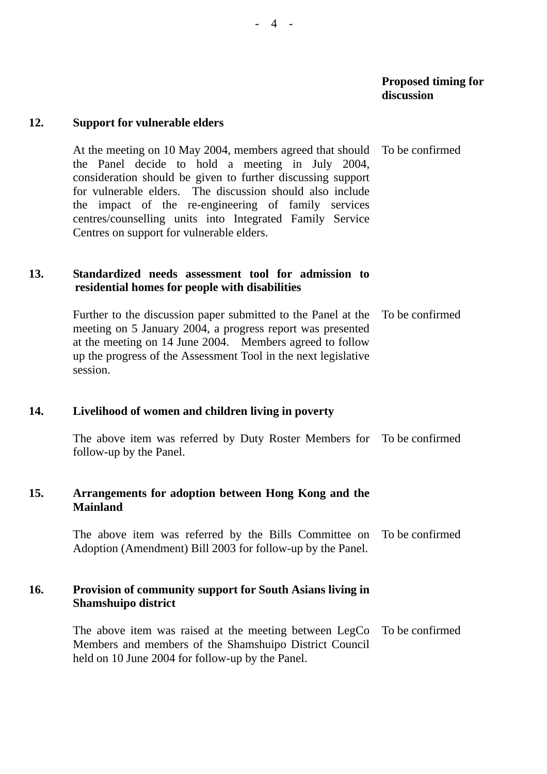#### **12. Support for vulnerable elders**

At the meeting on 10 May 2004, members agreed that should the Panel decide to hold a meeting in July 2004, consideration should be given to further discussing support for vulnerable elders. The discussion should also include the impact of the re-engineering of family services centres/counselling units into Integrated Family Service Centres on support for vulnerable elders. To be confirmed

## **13. Standardized needs assessment tool for admission to residential homes for people with disabilities**

Further to the discussion paper submitted to the Panel at the meeting on 5 January 2004, a progress report was presented at the meeting on 14 June 2004. Members agreed to follow up the progress of the Assessment Tool in the next legislative session. To be confirmed

### **14. Livelihood of women and children living in poverty**

The above item was referred by Duty Roster Members for To be confirmed follow-up by the Panel.

## **15. Arrangements for adoption between Hong Kong and the Mainland**

The above item was referred by the Bills Committee on Adoption (Amendment) Bill 2003 for follow-up by the Panel. To be confirmed

## **16. Provision of community support for South Asians living in Shamshuipo district**

The above item was raised at the meeting between LegCo Members and members of the Shamshuipo District Council held on 10 June 2004 for follow-up by the Panel. To be confirmed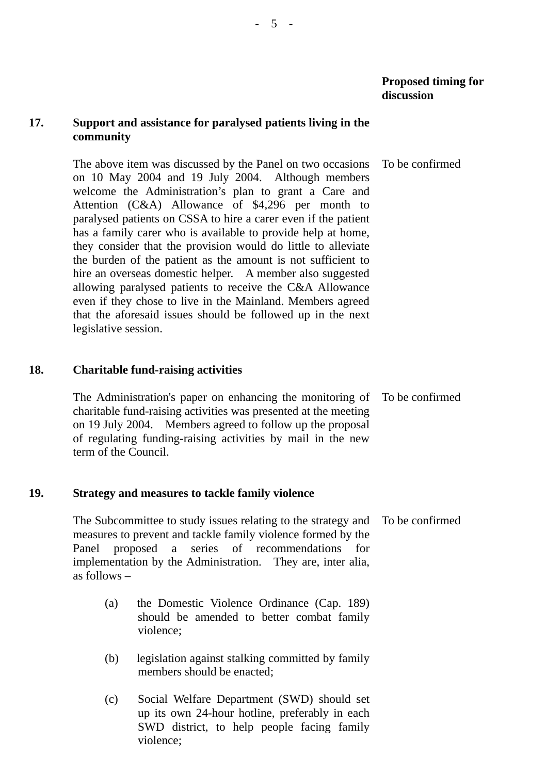## **17. Support and assistance for paralysed patients living in the community**

The above item was discussed by the Panel on two occasions on 10 May 2004 and 19 July 2004. Although members welcome the Administration's plan to grant a Care and Attention (C&A) Allowance of \$4,296 per month to paralysed patients on CSSA to hire a carer even if the patient has a family carer who is available to provide help at home, they consider that the provision would do little to alleviate the burden of the patient as the amount is not sufficient to hire an overseas domestic helper. A member also suggested allowing paralysed patients to receive the C&A Allowance even if they chose to live in the Mainland. Members agreed that the aforesaid issues should be followed up in the next legislative session. To be confirmed

## **18. Charitable fund-raising activities**

The Administration's paper on enhancing the monitoring of charitable fund-raising activities was presented at the meeting on 19 July 2004. Members agreed to follow up the proposal of regulating funding-raising activities by mail in the new term of the Council. To be confirmed

## **19. Strategy and measures to tackle family violence**

The Subcommittee to study issues relating to the strategy and measures to prevent and tackle family violence formed by the Panel proposed a series of recommendations for implementation by the Administration. They are, inter alia, as follows – To be confirmed

- (a) the Domestic Violence Ordinance (Cap. 189) should be amended to better combat family violence;
- (b) legislation against stalking committed by family members should be enacted;
- (c) Social Welfare Department (SWD) should set up its own 24-hour hotline, preferably in each SWD district, to help people facing family violence;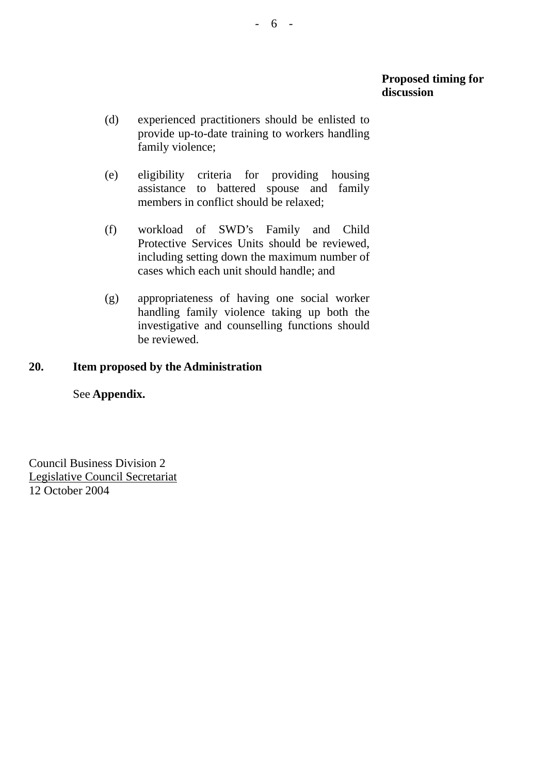- (d) experienced practitioners should be enlisted to provide up-to-date training to workers handling family violence;
- (e) eligibility criteria for providing housing assistance to battered spouse and family members in conflict should be relaxed;
- (f) workload of SWD's Family and Child Protective Services Units should be reviewed, including setting down the maximum number of cases which each unit should handle; and
- (g) appropriateness of having one social worker handling family violence taking up both the investigative and counselling functions should be reviewed.

## **20. Item proposed by the Administration**

## See **Appendix.**

Council Business Division 2 Legislative Council Secretariat 12 October 2004